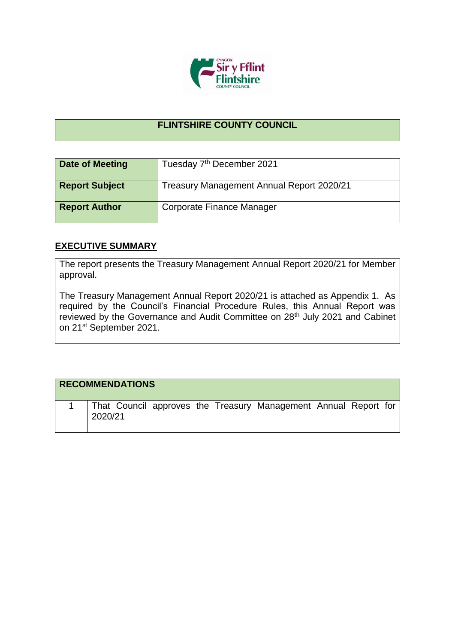

## **FLINTSHIRE COUNTY COUNCIL**

| <b>Date of Meeting</b> | Tuesday 7 <sup>th</sup> December 2021     |
|------------------------|-------------------------------------------|
| <b>Report Subject</b>  | Treasury Management Annual Report 2020/21 |
| <b>Report Author</b>   | Corporate Finance Manager                 |

## **EXECUTIVE SUMMARY**

The report presents the Treasury Management Annual Report 2020/21 for Member approval.

The Treasury Management Annual Report 2020/21 is attached as Appendix 1. As required by the Council's Financial Procedure Rules, this Annual Report was reviewed by the Governance and Audit Committee on 28<sup>th</sup> July 2021 and Cabinet on 21st September 2021.

| <b>RECOMMENDATIONS</b>                                                     |  |  |  |  |
|----------------------------------------------------------------------------|--|--|--|--|
| That Council approves the Treasury Management Annual Report for<br>2020/21 |  |  |  |  |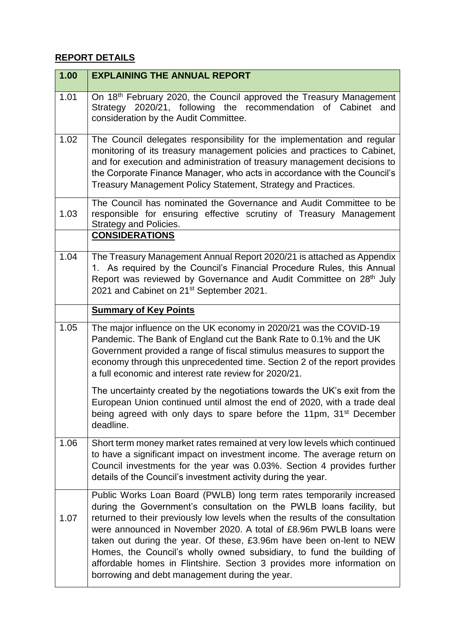## **REPORT DETAILS**

| 1.00 | <b>EXPLAINING THE ANNUAL REPORT</b>                                                                                                                                                                                                                                                                                                                                                                                                                                                                                                                                             |
|------|---------------------------------------------------------------------------------------------------------------------------------------------------------------------------------------------------------------------------------------------------------------------------------------------------------------------------------------------------------------------------------------------------------------------------------------------------------------------------------------------------------------------------------------------------------------------------------|
| 1.01 | On 18th February 2020, the Council approved the Treasury Management<br>Strategy 2020/21, following the recommendation of Cabinet<br>and<br>consideration by the Audit Committee.                                                                                                                                                                                                                                                                                                                                                                                                |
| 1.02 | The Council delegates responsibility for the implementation and regular<br>monitoring of its treasury management policies and practices to Cabinet,<br>and for execution and administration of treasury management decisions to<br>the Corporate Finance Manager, who acts in accordance with the Council's<br>Treasury Management Policy Statement, Strategy and Practices.                                                                                                                                                                                                    |
| 1.03 | The Council has nominated the Governance and Audit Committee to be<br>responsible for ensuring effective scrutiny of Treasury Management<br><b>Strategy and Policies.</b><br><b>CONSIDERATIONS</b>                                                                                                                                                                                                                                                                                                                                                                              |
| 1.04 | The Treasury Management Annual Report 2020/21 is attached as Appendix<br>1. As required by the Council's Financial Procedure Rules, this Annual<br>Report was reviewed by Governance and Audit Committee on 28 <sup>th</sup> July<br>2021 and Cabinet on 21 <sup>st</sup> September 2021.                                                                                                                                                                                                                                                                                       |
|      | <b>Summary of Key Points</b>                                                                                                                                                                                                                                                                                                                                                                                                                                                                                                                                                    |
| 1.05 | The major influence on the UK economy in 2020/21 was the COVID-19<br>Pandemic. The Bank of England cut the Bank Rate to 0.1% and the UK<br>Government provided a range of fiscal stimulus measures to support the<br>economy through this unprecedented time. Section 2 of the report provides<br>a full economic and interest rate review for 2020/21.                                                                                                                                                                                                                         |
|      | The uncertainty created by the negotiations towards the UK's exit from the<br>European Union continued until almost the end of 2020, with a trade deal<br>being agreed with only days to spare before the 11pm, 31 <sup>st</sup> December<br>deadline.                                                                                                                                                                                                                                                                                                                          |
| 1.06 | Short term money market rates remained at very low levels which continued<br>to have a significant impact on investment income. The average return on<br>Council investments for the year was 0.03%. Section 4 provides further<br>details of the Council's investment activity during the year.                                                                                                                                                                                                                                                                                |
| 1.07 | Public Works Loan Board (PWLB) long term rates temporarily increased<br>during the Government's consultation on the PWLB loans facility, but<br>returned to their previously low levels when the results of the consultation<br>were announced in November 2020. A total of £8.96m PWLB loans were<br>taken out during the year. Of these, £3.96m have been on-lent to NEW<br>Homes, the Council's wholly owned subsidiary, to fund the building of<br>affordable homes in Flintshire. Section 3 provides more information on<br>borrowing and debt management during the year. |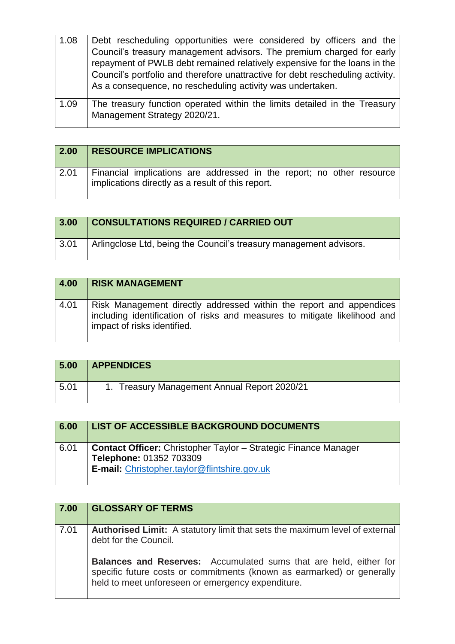| 1.08 | Debt rescheduling opportunities were considered by officers and the<br>Council's treasury management advisors. The premium charged for early<br>repayment of PWLB debt remained relatively expensive for the loans in the<br>Council's portfolio and therefore unattractive for debt rescheduling activity.<br>As a consequence, no rescheduling activity was undertaken. |
|------|---------------------------------------------------------------------------------------------------------------------------------------------------------------------------------------------------------------------------------------------------------------------------------------------------------------------------------------------------------------------------|
| 1.09 | The treasury function operated within the limits detailed in the Treasury<br>Management Strategy 2020/21.                                                                                                                                                                                                                                                                 |

| 2.00 | <b>RESOURCE IMPLICATIONS</b>                                                                                               |
|------|----------------------------------------------------------------------------------------------------------------------------|
| 2.01 | Financial implications are addressed in the report; no other resource<br>implications directly as a result of this report. |

| 3.00 | <b>CONSULTATIONS REQUIRED / CARRIED OUT</b>                        |
|------|--------------------------------------------------------------------|
| 3.01 | Arlingclose Ltd, being the Council's treasury management advisors. |

| 4.00 | <b>RISK MANAGEMENT</b>                                                                                                                                                          |
|------|---------------------------------------------------------------------------------------------------------------------------------------------------------------------------------|
| 4.01 | Risk Management directly addressed within the report and appendices<br>including identification of risks and measures to mitigate likelihood and<br>impact of risks identified. |

| 5.00 | <b>APPENDICES</b>                            |
|------|----------------------------------------------|
| 5.01 | 1. Treasury Management Annual Report 2020/21 |

| 6.00 | <b>LIST OF ACCESSIBLE BACKGROUND DOCUMENTS</b>                                                                                                    |
|------|---------------------------------------------------------------------------------------------------------------------------------------------------|
| 6.01 | <b>Contact Officer:</b> Christopher Taylor - Strategic Finance Manager<br>Telephone: 01352 703309<br>E-mail: Christopher.taylor@flintshire.gov.uk |

| 7.00 | <b>GLOSSARY OF TERMS</b>                                                                                                                                                                                |
|------|---------------------------------------------------------------------------------------------------------------------------------------------------------------------------------------------------------|
| 7.01 | <b>Authorised Limit:</b> A statutory limit that sets the maximum level of external<br>debt for the Council.                                                                                             |
|      | <b>Balances and Reserves:</b> Accumulated sums that are held, either for<br>specific future costs or commitments (known as earmarked) or generally<br>held to meet unforeseen or emergency expenditure. |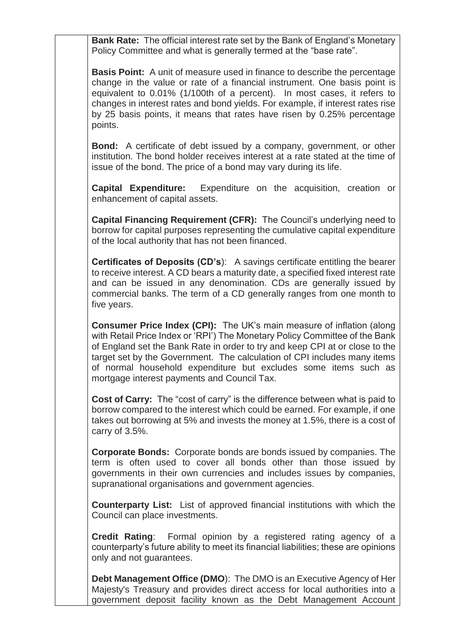**Bank Rate:** The official interest rate set by the Bank of England's Monetary Policy Committee and what is generally termed at the "base rate".

**Basis Point:** A unit of measure used in finance to describe the percentage change in the value or rate of a financial instrument. One basis point is equivalent to 0.01% (1/100th of a percent). In most cases, it refers to changes in interest rates and bond yields. For example, if interest rates rise by 25 basis points, it means that rates have risen by 0.25% percentage points.

**Bond:** A certificate of debt issued by a company, government, or other institution. The bond holder receives interest at a rate stated at the time of issue of the bond. The price of a bond may vary during its life.

**Capital Expenditure:** Expenditure on the acquisition, creation or enhancement of capital assets.

**Capital Financing Requirement (CFR):** The Council's underlying need to borrow for capital purposes representing the cumulative capital expenditure of the local authority that has not been financed.

**Certificates of Deposits (CD's**): A savings certificate entitling the bearer to receive interest. A CD bears a maturity date, a specified fixed interest rate and can be issued in any denomination. CDs are generally issued by commercial banks. The term of a CD generally ranges from one month to five years.

**Consumer Price Index (CPI):** The UK's main measure of inflation (along with Retail Price Index or 'RPI') The Monetary Policy Committee of the Bank of England set the Bank Rate in order to try and keep CPI at or close to the target set by the Government. The calculation of CPI includes many items of normal household expenditure but excludes some items such as mortgage interest payments and Council Tax.

**Cost of Carry:** The "cost of carry" is the difference between what is paid to borrow compared to the interest which could be earned. For example, if one takes out borrowing at 5% and invests the money at 1.5%, there is a cost of carry of 3.5%.

**Corporate Bonds:** Corporate bonds are bonds issued by companies. The term is often used to cover all bonds other than those issued by governments in their own currencies and includes issues by companies, supranational organisations and government agencies.

**Counterparty List:** List of approved financial institutions with which the Council can place investments.

**Credit Rating**: Formal opinion by a registered rating agency of a counterparty's future ability to meet its financial liabilities; these are opinions only and not guarantees.

**Debt Management Office (DMO**): The DMO is an Executive Agency of Her Majesty's Treasury and provides direct access for local authorities into a government deposit facility known as the Debt Management Account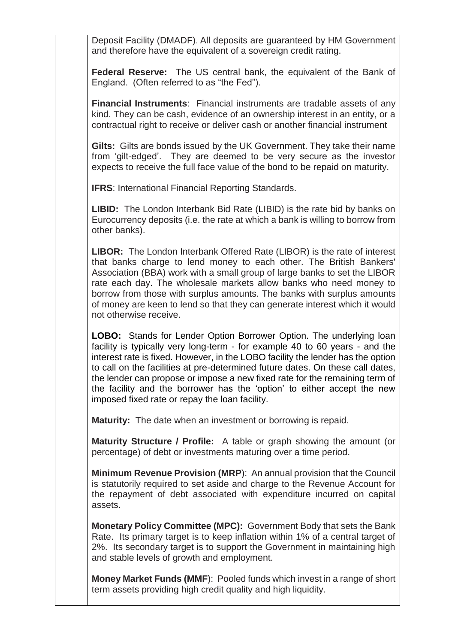Deposit Facility (DMADF). All deposits are guaranteed by HM Government and therefore have the equivalent of a sovereign credit rating.

**Federal Reserve:** The US central bank, the equivalent of the Bank of England. (Often referred to as "the Fed").

**Financial Instruments**: Financial instruments are tradable assets of any kind. They can be cash, evidence of an ownership interest in an entity, or a contractual right to receive or deliver cash or another financial instrument

**Gilts:** Gilts are bonds issued by the UK Government. They take their name from 'gilt-edged'. They are deemed to be very secure as the investor expects to receive the full face value of the bond to be repaid on maturity.

**IFRS: International Financial Reporting Standards.** 

**LIBID:** The London Interbank Bid Rate (LIBID) is the rate bid by banks on Eurocurrency deposits (i.e. the rate at which a bank is willing to borrow from other banks).

**LIBOR:** The London Interbank Offered Rate (LIBOR) is the rate of interest that banks charge to lend money to each other. The British Bankers' Association (BBA) work with a small group of large banks to set the LIBOR rate each day. The wholesale markets allow banks who need money to borrow from those with surplus amounts. The banks with surplus amounts of money are keen to lend so that they can generate interest which it would not otherwise receive.

**LOBO:** Stands for Lender Option Borrower Option. The underlying loan facility is typically very long-term - for example 40 to 60 years - and the interest rate is fixed. However, in the LOBO facility the lender has the option to call on the facilities at pre-determined future dates. On these call dates, the lender can propose or impose a new fixed rate for the remaining term of the facility and the borrower has the 'option' to either accept the new imposed fixed rate or repay the loan facility.

**Maturity:** The date when an investment or borrowing is repaid.

**Maturity Structure / Profile:** A table or graph showing the amount (or percentage) of debt or investments maturing over a time period.

**Minimum Revenue Provision (MRP**): An annual provision that the Council is statutorily required to set aside and charge to the Revenue Account for the repayment of debt associated with expenditure incurred on capital assets.

**Monetary Policy Committee (MPC):** Government Body that sets the Bank Rate. Its primary target is to keep inflation within 1% of a central target of 2%. Its secondary target is to support the Government in maintaining high and stable levels of growth and employment.

**Money Market Funds (MMF**): Pooled funds which invest in a range of short term assets providing high credit quality and high liquidity.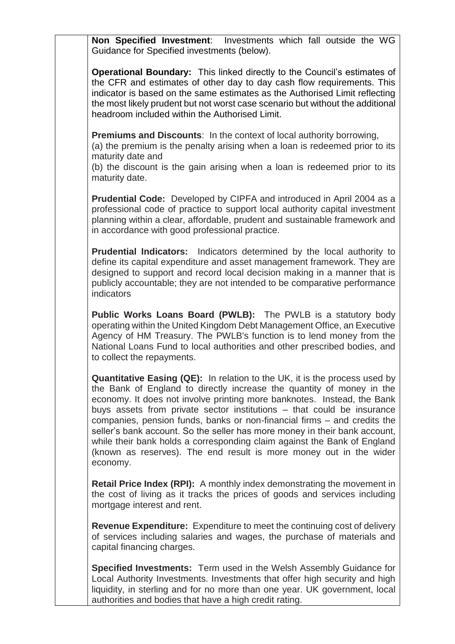**Non Specified Investment**: Investments which fall outside the WG Guidance for Specified investments (below).

**Operational Boundary:** This linked directly to the Council's estimates of the CFR and estimates of other day to day cash flow requirements. This indicator is based on the same estimates as the Authorised Limit reflecting the most likely prudent but not worst case scenario but without the additional headroom included within the Authorised Limit.

**Premiums and Discounts**: In the context of local authority borrowing,

(a) the premium is the penalty arising when a loan is redeemed prior to its maturity date and

(b) the discount is the gain arising when a loan is redeemed prior to its maturity date.

**Prudential Code:** Developed by CIPFA and introduced in April 2004 as a professional code of practice to support local authority capital investment planning within a clear, affordable, prudent and sustainable framework and in accordance with good professional practice.

**Prudential Indicators:** Indicators determined by the local authority to define its capital expenditure and asset management framework. They are designed to support and record local decision making in a manner that is publicly accountable; they are not intended to be comparative performance indicators

**Public Works Loans Board (PWLB):** The PWLB is a statutory body operating within the United Kingdom Debt Management Office, an Executive Agency of HM Treasury. The PWLB's function is to lend money from the National Loans Fund to local authorities and other prescribed bodies, and to collect the repayments.

**Quantitative Easing (QE):** In relation to the UK, it is the process used by the Bank of England to directly increase the quantity of money in the economy. It does not involve printing more banknotes. Instead, the Bank buys assets from private sector institutions – that could be insurance companies, pension funds, banks or non-financial firms – and credits the seller's bank account. So the seller has more money in their bank account, while their bank holds a corresponding claim against the Bank of England (known as reserves). The end result is more money out in the wider economy.

**Retail Price Index (RPI):** A monthly index demonstrating the movement in the cost of living as it tracks the prices of goods and services including mortgage interest and rent.

**Revenue Expenditure:** Expenditure to meet the continuing cost of delivery of services including salaries and wages, the purchase of materials and capital financing charges.

**Specified Investments:** Term used in the Welsh Assembly Guidance for Local Authority Investments. Investments that offer high security and high liquidity, in sterling and for no more than one year. UK government, local authorities and bodies that have a high credit rating.